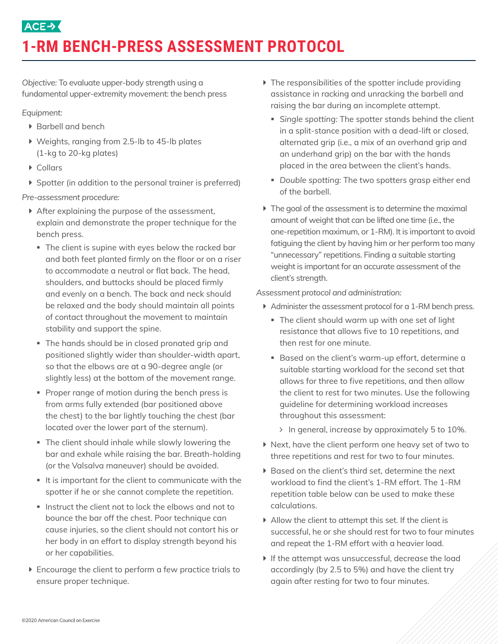# **ACE-> 1-RM BENCH-PRESS ASSESSMENT PROTOCOL**

*Objective:* To evaluate upper-body strength using a fundamental upper-extremity movement: the bench press

### *Equipment:*

- ▶ Barbell and bench
- ▶ Weights, ranging from 2.5-lb to 45-lb plates (1-kg to 20-kg plates)
- $\triangleright$  Collars
- ▶ Spotter (in addition to the personal trainer is preferred)

*Pre-assessment procedure:* 

- $\blacktriangleright$  After explaining the purpose of the assessment, explain and demonstrate the proper technique for the bench press.
	- The client is supine with eyes below the racked bar and both feet planted firmly on the floor or on a riser to accommodate a neutral or flat back. The head, shoulders, and buttocks should be placed firmly and evenly on a bench. The back and neck should be relaxed and the body should maintain all points of contact throughout the movement to maintain stability and support the spine.
	- § The hands should be in closed pronated grip and positioned slightly wider than shoulder-width apart, so that the elbows are at a 90-degree angle (or slightly less) at the bottom of the movement range.
	- § Proper range of motion during the bench press is from arms fully extended (bar positioned above the chest) to the bar lightly touching the chest (bar located over the lower part of the sternum).
	- The client should inhale while slowly lowering the bar and exhale while raising the bar. Breath-holding (or the Valsalva maneuver) should be avoided.
	- It is important for the client to communicate with the spotter if he or she cannot complete the repetition.
	- Instruct the client not to lock the elbows and not to bounce the bar off the chest. Poor technique can cause injuries, so the client should not contort his or her body in an effort to display strength beyond his or her capabilities.
- $\blacktriangleright$  Encourage the client to perform a few practice trials to ensure proper technique.
- $\blacktriangleright$  The responsibilities of the spotter include providing assistance in racking and unracking the barbell and raising the bar during an incomplete attempt.
	- § *Single spotting:* The spotter stands behind the client in a split-stance position with a dead-lift or closed, alternated grip (i.e., a mix of an overhand grip and an underhand grip) on the bar with the hands placed in the area between the client's hands.
	- § *Double spotting:* The two spotters grasp either end of the barbell.
- $\blacktriangleright$  The goal of the assessment is to determine the maximal amount of weight that can be lifted one time (i.e., the one-repetition maximum, or 1-RM). It is important to avoid fatiguing the client by having him or her perform too many "unnecessary" repetitions. Finding a suitable starting weight is important for an accurate assessment of the client's strength.

*Assessment protocol and administration:* 

- $\blacktriangleright$  Administer the assessment protocol for a 1-RM bench press.
	- The client should warm up with one set of light resistance that allows five to 10 repetitions, and then rest for one minute.
	- Based on the client's warm-up effort, determine a suitable starting workload for the second set that allows for three to five repetitions, and then allow the client to rest for two minutes. Use the following guideline for determining workload increases throughout this assessment:
		- In general, increase by approximately 5 to 10%.
- $\blacktriangleright$  Next, have the client perform one heavy set of two to three repetitions and rest for two to four minutes.
- ▶ Based on the client's third set, determine the next workload to find the client's 1-RM effort. The 1-RM repetition table below can be used to make these calculations.
- $\blacktriangleright$  Allow the client to attempt this set. If the client is successful, he or she should rest for two to four minutes and repeat the 1-RM effort with a heavier load.
- $\blacktriangleright$  If the attempt was unsuccessful, decrease the load accordingly (by 2.5 to 5%) and have the client try again after resting for two to four minutes.